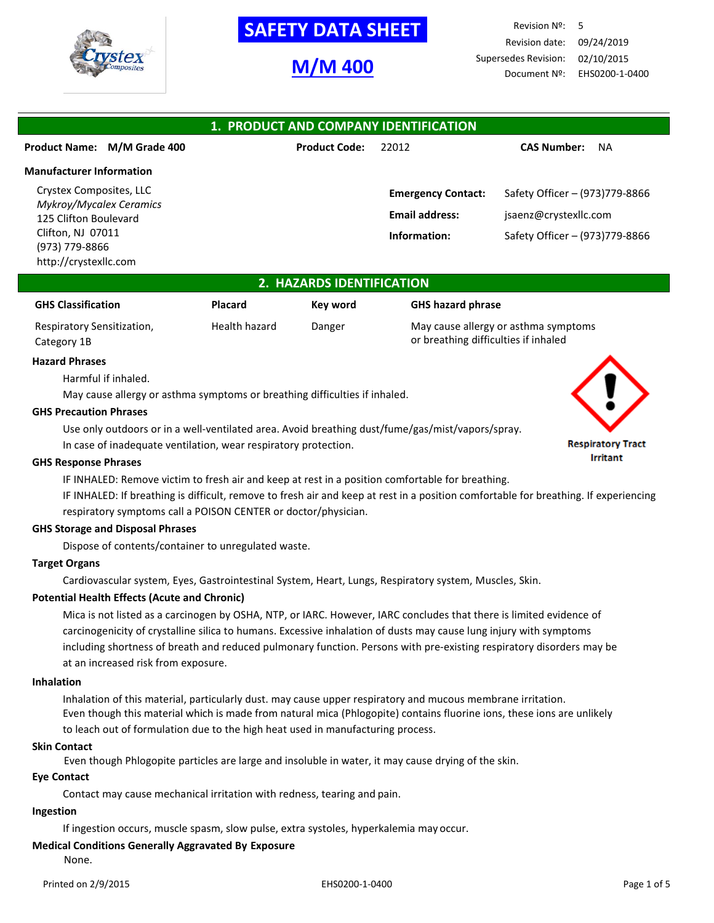

# **SAFETY DATA SHEET**

# **M/M 400**

Revision Nº: 5 Revision date: 09/24/2019 Supersedes Revision: 02/10/2015 Document Nº: EHS0200-1-0400

| 1. PRODUCT AND COMPANY IDENTIFICATION            |                      |                           |                                 |  |  |
|--------------------------------------------------|----------------------|---------------------------|---------------------------------|--|--|
| Product Name: M/M Grade 400                      | <b>Product Code:</b> | 22012                     | <b>CAS Number:</b><br><b>NA</b> |  |  |
| <b>Manufacturer Information</b>                  |                      |                           |                                 |  |  |
| Crystex Composites, LLC                          |                      | <b>Emergency Contact:</b> | Safety Officer - (973)779-8866  |  |  |
| Mykroy/Mycalex Ceramics<br>125 Clifton Boulevard |                      | <b>Email address:</b>     | jsaenz@crystexllc.com           |  |  |
| Clifton, NJ 07011                                |                      | Information:              | Safety Officer - (973)779-8866  |  |  |
| (973) 779-8866<br>http://crystexllc.com          |                      |                           |                                 |  |  |

## **2. HAZARDS IDENTIFICATION**

| <b>GHS Classification</b>  | Placard       | Kev word | <b>GHS hazard phrase</b>             |
|----------------------------|---------------|----------|--------------------------------------|
| Respiratory Sensitization, | Health hazard | Danger   | May cause allergy or asthma symptoms |
| Category 1B                |               |          | or breathing difficulties if inhaled |

#### **Hazard Phrases**

Harmful if inhaled.

May cause allergy or asthma symptoms or breathing difficulties if inhaled.

#### **GHS Precaution Phrases**

Use only outdoors or in a well-ventilated area. Avoid breathing dust/fume/gas/mist/vapors/spray.

In case of inadequate ventilation, wear respiratory protection.

#### **GHS Response Phrases**

IF INHALED: Remove victim to fresh air and keep at rest in a position comfortable for breathing.

IF INHALED: If breathing is difficult, remove to fresh air and keep at rest in a position comfortable for breathing. If experiencing respiratory symptoms call a POISON CENTER or doctor/physician.

### **GHS Storage and Disposal Phrases**

Dispose of contents/container to unregulated waste.

## **Target Organs**

Cardiovascular system, Eyes, Gastrointestinal System, Heart, Lungs, Respiratory system, Muscles, Skin.

### **Potential Health Effects (Acute and Chronic)**

Mica is not listed as a carcinogen by OSHA, NTP, or IARC. However, IARC concludes that there is limited evidence of carcinogenicity of crystalline silica to humans. Excessive inhalation of dusts may cause lung injury with symptoms including shortness of breath and reduced pulmonary function. Persons with pre-existing respiratory disorders may be at an increased risk from exposure.

### **Inhalation**

Inhalation of this material, particularly dust. may cause upper respiratory and mucous membrane irritation. Even though this material which is made from natural mica (Phlogopite) contains fluorine ions, these ions are unlikely to leach out of formulation due to the high heat used in manufacturing process.

### **Skin Contact**

Even though Phlogopite particles are large and insoluble in water, it may cause drying of the skin.

### **Eye Contact**

Contact may cause mechanical irritation with redness, tearing and pain.

### **Ingestion**

If ingestion occurs, muscle spasm, slow pulse, extra systoles, hyperkalemia may occur.

## **Medical Conditions Generally Aggravated By Exposure**

None.

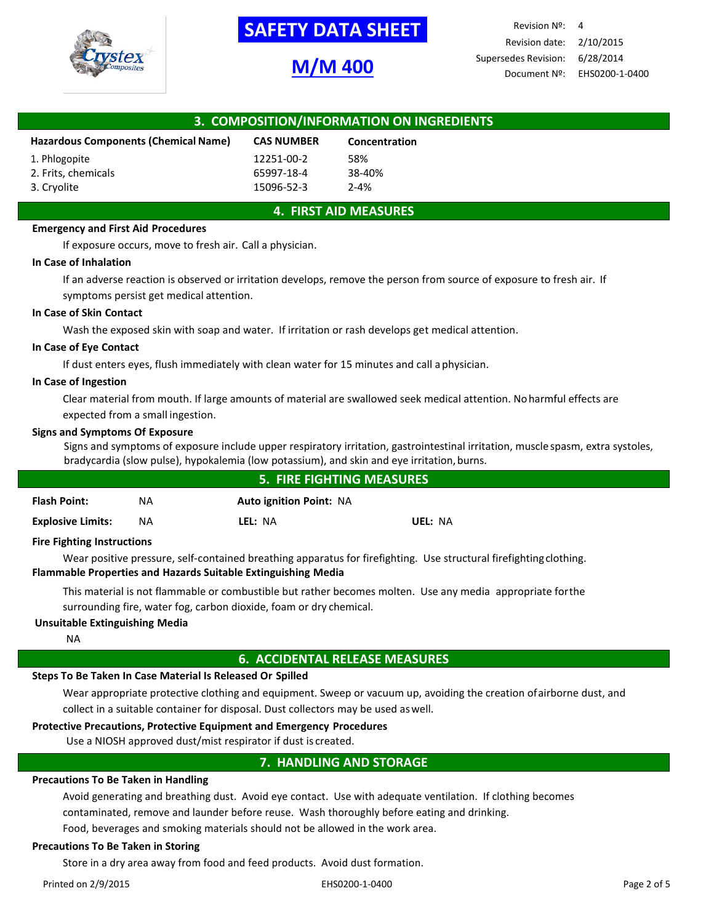

# **-SAFETY DATA SHEET-**

# **M/M 400**

| 3. COMPOSITION/INFORMATION ON INGREDIENTS                                         |            |          |  |  |  |
|-----------------------------------------------------------------------------------|------------|----------|--|--|--|
| <b>Hazardous Components (Chemical Name)</b><br><b>CAS NUMBER</b><br>Concentration |            |          |  |  |  |
| 1. Phlogopite                                                                     | 12251-00-2 | 58%      |  |  |  |
| 2. Frits, chemicals                                                               | 65997-18-4 | 38-40%   |  |  |  |
| 3. Cryolite                                                                       | 15096-52-3 | $2 - 4%$ |  |  |  |

## **4. FIRST AID MEASURES**

### **Emergency and First Aid Procedures**

If exposure occurs, move to fresh air. Call a physician.

#### **In Case of Inhalation**

If an adverse reaction is observed or irritation develops, remove the person from source of exposure to fresh air. If symptoms persist get medical attention.

#### **In Case of Skin Contact**

Wash the exposed skin with soap and water. If irritation or rash develops get medical attention.

#### **In Case of Eye Contact**

If dust enters eyes, flush immediately with clean water for 15 minutes and call aphysician.

#### **In Case of Ingestion**

Clear material from mouth. If large amounts of material are swallowed seek medical attention. Noharmful effects are expected from a small ingestion.

#### **Signs and Symptoms Of Exposure**

Signs and symptoms of exposure include upper respiratory irritation, gastrointestinal irritation, muscle spasm, extra systoles, bradycardia (slow pulse), hypokalemia (low potassium), and skin and eye irritation,burns.

| <b>5. FIRE FIGHTING MEASURES</b> |           |                                |         |  |
|----------------------------------|-----------|--------------------------------|---------|--|
| <b>Flash Point:</b>              | NA        | <b>Auto ignition Point: NA</b> |         |  |
| <b>Explosive Limits:</b>         | <b>NA</b> | LEL: NA                        | UEL: NA |  |

### **Fire Fighting Instructions**

Wear positive pressure, self-contained breathing apparatus for firefighting. Use structural firefightingclothing. **Flammable Properties and Hazards Suitable Extinguishing Media**

This material is not flammable or combustible but rather becomes molten. Use any media appropriate forthe surrounding fire, water fog, carbon dioxide, foam or dry chemical.

### **Unsuitable Extinguishing Media**

NA

## **6. ACCIDENTAL RELEASE MEASURES**

## **Steps To Be Taken In Case Material Is Released Or Spilled**

Wear appropriate protective clothing and equipment. Sweep or vacuum up, avoiding the creation ofairborne dust, and collect in a suitable container for disposal. Dust collectors may be used aswell.

## **Protective Precautions, Protective Equipment and Emergency Procedures**

Use a NIOSH approved dust/mist respirator if dust is created.

# **7. HANDLING AND STORAGE**

## **Precautions To Be Taken in Handling**

Avoid generating and breathing dust. Avoid eye contact. Use with adequate ventilation. If clothing becomes contaminated, remove and launder before reuse. Wash thoroughly before eating and drinking.

Food, beverages and smoking materials should not be allowed in the work area.

## **Precautions To Be Taken in Storing**

Store in a dry area away from food and feed products. Avoid dust formation.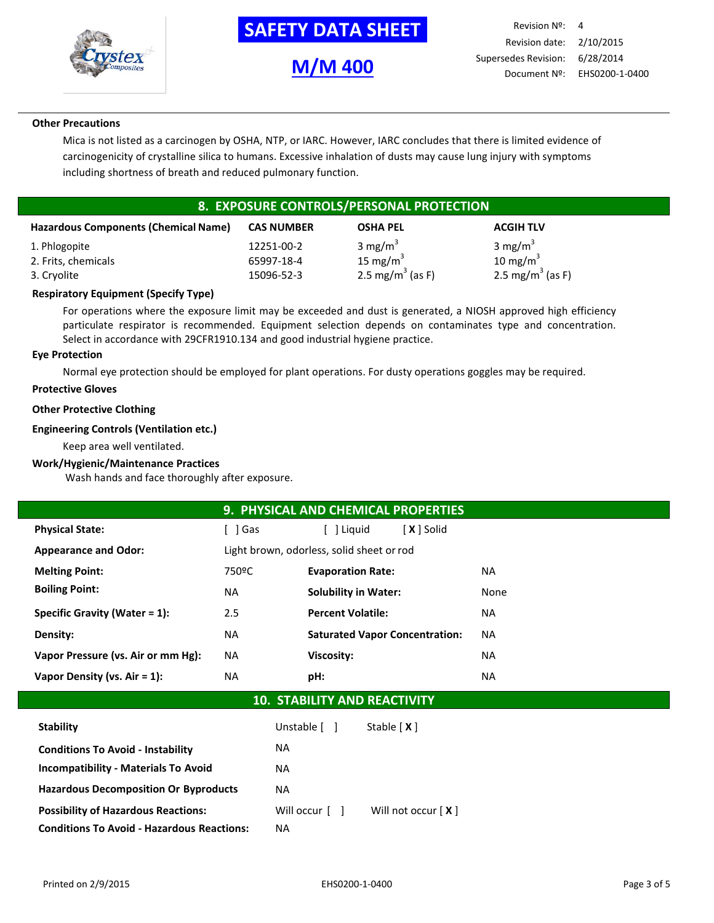

# **-SAFETY DATA SHEET-**

# **M/M 400**

## **Other Precautions**

Mica is not listed as a carcinogen by OSHA, NTP, or IARC. However, IARC concludes that there is limited evidence of carcinogenicity of crystalline silica to humans. Excessive inhalation of dusts may cause lung injury with symptoms including shortness of breath and reduced pulmonary function.

# **8. EXPOSURE CONTROLS/PERSONAL PROTECTION**

| <b>Hazardous Components (Chemical Name)</b> | <b>CAS NUMBER</b> | <b>OSHA PEL</b>              | <b>ACGIH TLV</b>             |
|---------------------------------------------|-------------------|------------------------------|------------------------------|
| 1. Phlogopite                               | 12251-00-2        | 3 mg/m <sup>3</sup>          | 3 mg/m <sup>3</sup>          |
| 2. Frits, chemicals                         | 65997-18-4        | 15 mg/m $3$                  | 10 mg/m $3$                  |
| 3. Cryolite                                 | 15096-52-3        | 2.5 mg/m <sup>3</sup> (as F) | 2.5 mg/m <sup>3</sup> (as F) |

## **Respiratory Equipment (Specify Type)**

For operations where the exposure limit may be exceeded and dust is generated, a NIOSH approved high efficiency particulate respirator is recommended. Equipment selection depends on contaminates type and concentration. Select in accordance with 29CFR1910.134 and good industrial hygiene practice.

### **Eye Protection**

Normal eye protection should be employed for plant operations. For dusty operations goggles may be required.

### **Protective Gloves**

## **Other Protective Clothing**

## **Engineering Controls (Ventilation etc.)**

Keep area well ventilated.

### **Work/Hygienic/Maintenance Practices**

Wash hands and face thoroughly after exposure.

| <b>9. PHYSICAL AND CHEMICAL PROPERTIES</b> |                    |                                              |      |  |  |
|--------------------------------------------|--------------------|----------------------------------------------|------|--|--|
| <b>Physical State:</b>                     | [ ]Gas             | [X ] Solid<br>[ ] Liguid                     |      |  |  |
| <b>Appearance and Odor:</b>                |                    | Light brown, odorless, solid sheet or rod    |      |  |  |
| <b>Melting Point:</b>                      | 750 <sup>o</sup> C | <b>Evaporation Rate:</b><br>NA.              |      |  |  |
| <b>Boiling Point:</b>                      | <b>NA</b>          | <b>Solubility in Water:</b>                  | None |  |  |
| Specific Gravity (Water = $1$ ):           | 2.5                | <b>Percent Volatile:</b>                     | NA.  |  |  |
| Density:                                   | NA.                | <b>Saturated Vapor Concentration:</b><br>NA. |      |  |  |
| Vapor Pressure (vs. Air or mm Hg):         | NA                 | <b>Viscosity:</b>                            | NA.  |  |  |
| Vapor Density (vs. Air = 1):               | NA.                | pH:                                          | NA.  |  |  |
| 10<br><b>STARILITY AND REACTIVITY</b>      |                    |                                              |      |  |  |

## **10. STABILITY AND REACTIVITY**

| <b>Stability</b>                                  | Unstable [ ]          | Stable $[X]$         |
|---------------------------------------------------|-----------------------|----------------------|
| <b>Conditions To Avoid - Instability</b>          | NA.                   |                      |
| <b>Incompatibility - Materials To Avoid</b>       | NA.                   |                      |
| <b>Hazardous Decomposition Or Byproducts</b>      | NA.                   |                      |
| <b>Possibility of Hazardous Reactions:</b>        | Will occur $\lceil$ 1 | Will not occur $[X]$ |
| <b>Conditions To Avoid - Hazardous Reactions:</b> | ΝA                    |                      |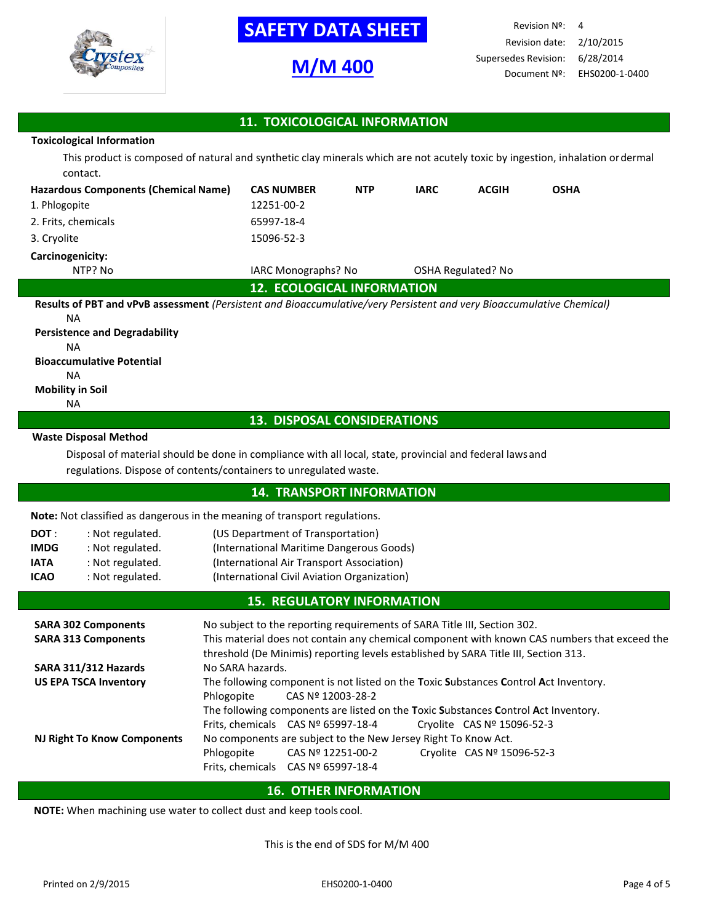

# **-SAFETY DATA SHEET-**

# **M/M 400**

Revision Nº: 4 Revision date: 2/10/2015 Supersedes Revision: 6/28/2014 Document Nº: EHS0200-1-0400

## **11. TOXICOLOGICAL INFORMATION**

## **Toxicological Information**

This product is composed of natural and synthetic clay minerals which are not acutely toxic by ingestion, inhalation ordermal contact.

| <b>Hazardous Components (Chemical Name)</b>                                                                           | <b>CAS NUMBER</b>                 | <b>NTP</b> | <b>IARC</b> | <b>ACGIH</b>       | <b>OSHA</b> |  |
|-----------------------------------------------------------------------------------------------------------------------|-----------------------------------|------------|-------------|--------------------|-------------|--|
| 1. Phlogopite                                                                                                         | 12251-00-2                        |            |             |                    |             |  |
| 2. Frits, chemicals                                                                                                   | 65997-18-4                        |            |             |                    |             |  |
| 3. Cryolite                                                                                                           | 15096-52-3                        |            |             |                    |             |  |
| Carcinogenicity:                                                                                                      |                                   |            |             |                    |             |  |
| NTP? No                                                                                                               | <b>IARC Monographs? No</b>        |            |             | OSHA Regulated? No |             |  |
|                                                                                                                       | <b>12. ECOLOGICAL INFORMATION</b> |            |             |                    |             |  |
| Results of PBT and vPvB assessment (Persistent and Bioaccumulative/very Persistent and very Bioaccumulative Chemical) |                                   |            |             |                    |             |  |
| <b>NA</b>                                                                                                             |                                   |            |             |                    |             |  |
| <b>Persistence and Degradability</b>                                                                                  |                                   |            |             |                    |             |  |
| ΝA                                                                                                                    |                                   |            |             |                    |             |  |
| <b>Bioaccumulative Potential</b>                                                                                      |                                   |            |             |                    |             |  |
| <b>NA</b>                                                                                                             |                                   |            |             |                    |             |  |

# **Mobility in Soil**

## NA

## **13. DISPOSAL CONSIDERATIONS**

#### **Waste Disposal Method**

Disposal of material should be done in compliance with all local, state, provincial and federal lawsand regulations. Dispose of contents/containers to unregulated waste.

## **14. TRANSPORT INFORMATION**

**Note:** Not classified as dangerous in the meaning of transport regulations.

| DOT :       | : Not regulated. | (US Department of Transportation)           |
|-------------|------------------|---------------------------------------------|
| <b>IMDG</b> | : Not regulated. | (International Maritime Dangerous Goods)    |
| <b>IATA</b> | : Not regulated. | (International Air Transport Association)   |
| <b>ICAO</b> | : Not regulated. | (International Civil Aviation Organization) |

## **15. REGULATORY INFORMATION**

| <b>SARA 302 Components</b>   | No subject to the reporting requirements of SARA Title III, Section 302.                                                                                                            |                                      |  |                                                                                      |
|------------------------------|-------------------------------------------------------------------------------------------------------------------------------------------------------------------------------------|--------------------------------------|--|--------------------------------------------------------------------------------------|
| <b>SARA 313 Components</b>   | This material does not contain any chemical component with known CAS numbers that exceed the<br>threshold (De Minimis) reporting levels established by SARA Title III, Section 313. |                                      |  |                                                                                      |
| SARA 311/312 Hazards         | No SARA hazards.                                                                                                                                                                    |                                      |  |                                                                                      |
| <b>US EPA TSCA Inventory</b> |                                                                                                                                                                                     |                                      |  | The following component is not listed on the Toxic Substances Control Act Inventory. |
|                              | Phlogopite                                                                                                                                                                          | CAS Nº 12003-28-2                    |  |                                                                                      |
|                              | The following components are listed on the Toxic Substances Control Act Inventory.                                                                                                  |                                      |  |                                                                                      |
|                              |                                                                                                                                                                                     | Frits, chemicals $CAS No 65997-18-4$ |  | Cryolite CAS Nº 15096-52-3                                                           |
| NJ Right To Know Components  | No components are subject to the New Jersey Right To Know Act.                                                                                                                      |                                      |  |                                                                                      |
|                              | Phlogopite                                                                                                                                                                          | CAS Nº 12251-00-2                    |  | Cryolite CAS Nº 15096-52-3                                                           |
|                              |                                                                                                                                                                                     | Frits, chemicals $CAS N2 65997-18-4$ |  |                                                                                      |
|                              |                                                                                                                                                                                     |                                      |  |                                                                                      |

## **16. OTHER INFORMATION**

**NOTE:** When machining use water to collect dust and keep tools cool. **9.**

This is the end of SDS for M/M 400